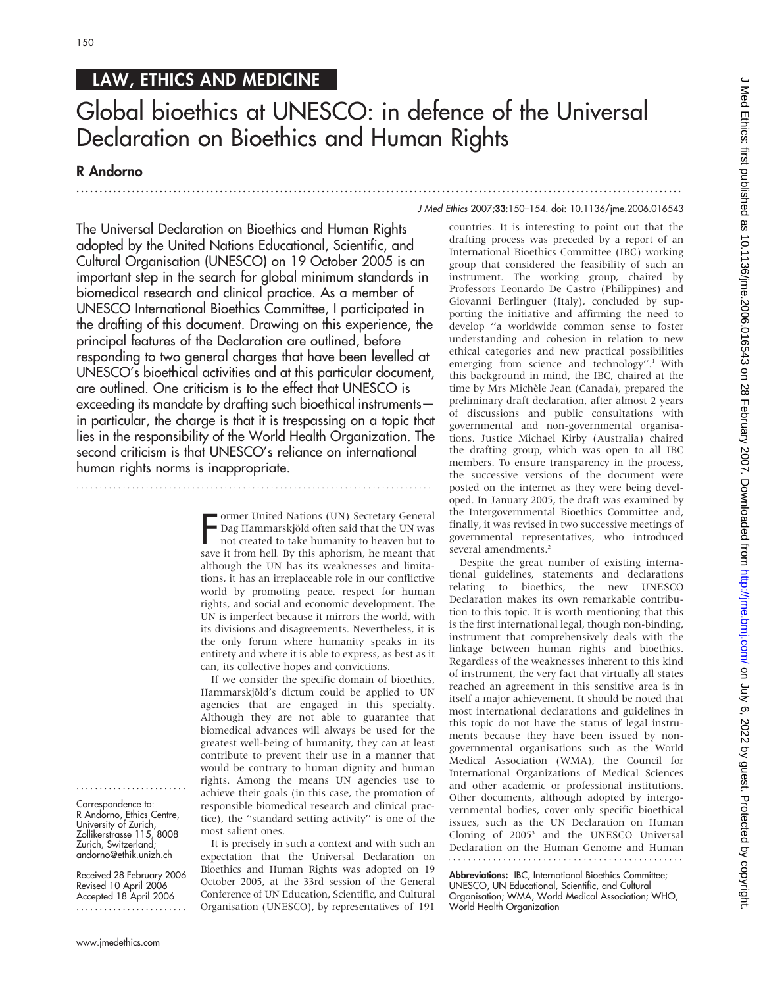## LAW, ETHICS AND MEDICINE

# Global bioethics at UNESCO: in defence of the Universal Declaration on Bioethics and Human Rights

## R Andorno

...................................................................................................................................

The Universal Declaration on Bioethics and Human Rights adopted by the United Nations Educational, Scientific, and Cultural Organisation (UNESCO) on 19 October 2005 is an important step in the search for global minimum standards in biomedical research and clinical practice. As a member of UNESCO International Bioethics Committee, I participated in the drafting of this document. Drawing on this experience, the principal features of the Declaration are outlined, before responding to two general charges that have been levelled at UNESCO's bioethical activities and at this particular document, are outlined. One criticism is to the effect that UNESCO is exceeding its mandate by drafting such bioethical instruments in particular, the charge is that it is trespassing on a topic that lies in the responsibility of the World Health Organization. The second criticism is that UNESCO's reliance on international human rights norms is inappropriate.

.............................................................................

Framer United Nations (UN) Secretary General<br>Dag Hammarskjöld often said that the UN was<br>not created to take humanity to heaven but to<br>save it from hell. By this aphorism, he meant that ormer United Nations (UN) Secretary General Dag Hammarskjöld often said that the UN was not created to take humanity to heaven but to although the UN has its weaknesses and limitations, it has an irreplaceable role in our conflictive world by promoting peace, respect for human rights, and social and economic development. The UN is imperfect because it mirrors the world, with its divisions and disagreements. Nevertheless, it is the only forum where humanity speaks in its entirety and where it is able to express, as best as it can, its collective hopes and convictions.

If we consider the specific domain of bioethics, Hammarskjöld's dictum could be applied to UN agencies that are engaged in this specialty. Although they are not able to guarantee that biomedical advances will always be used for the greatest well-being of humanity, they can at least contribute to prevent their use in a manner that would be contrary to human dignity and human rights. Among the means UN agencies use to achieve their goals (in this case, the promotion of responsible biomedical research and clinical practice), the ''standard setting activity'' is one of the most salient ones.

It is precisely in such a context and with such an expectation that the Universal Declaration on Bioethics and Human Rights was adopted on 19 October 2005, at the 33rd session of the General Conference of UN Education, Scientific, and Cultural Organisation (UNESCO), by representatives of 191

### J Med Ethics 2007;33:150–154. doi: 10.1136/jme.2006.016543

countries. It is interesting to point out that the drafting process was preceded by a report of an International Bioethics Committee (IBC) working group that considered the feasibility of such an instrument. The working group, chaired by Professors Leonardo De Castro (Philippines) and Giovanni Berlinguer (Italy), concluded by supporting the initiative and affirming the need to develop ''a worldwide common sense to foster understanding and cohesion in relation to new ethical categories and new practical possibilities emerging from science and technology".<sup>1</sup> With this background in mind, the IBC, chaired at the time by Mrs Michèle Jean (Canada), prepared the preliminary draft declaration, after almost 2 years of discussions and public consultations with governmental and non-governmental organisations. Justice Michael Kirby (Australia) chaired the drafting group, which was open to all IBC members. To ensure transparency in the process, the successive versions of the document were posted on the internet as they were being developed. In January 2005, the draft was examined by the Intergovernmental Bioethics Committee and, finally, it was revised in two successive meetings of governmental representatives, who introduced several amendments.<sup>2</sup>

Despite the great number of existing international guidelines, statements and declarations relating to bioethics, the new UNESCO Declaration makes its own remarkable contribution to this topic. It is worth mentioning that this is the first international legal, though non-binding, instrument that comprehensively deals with the linkage between human rights and bioethics. Regardless of the weaknesses inherent to this kind of instrument, the very fact that virtually all states reached an agreement in this sensitive area is in itself a major achievement. It should be noted that most international declarations and guidelines in this topic do not have the status of legal instruments because they have been issued by nongovernmental organisations such as the World Medical Association (WMA), the Council for International Organizations of Medical Sciences and other academic or professional institutions. Other documents, although adopted by intergovernmental bodies, cover only specific bioethical issues, such as the UN Declaration on Human Cloning of 2005<sup>3</sup> and the UNESCO Universal Declaration on the Human Genome and Human

Abbreviations: IBC, International Bioethics Committee; UNESCO, UN Educational, Scientific, and Cultural Organisation; WMA, World Medical Association; WHO, World Health Organization

Correspondence to: R Andorno, Ethics Centre, University of Zurich, Zollikerstrasse 115, 8008 Zurich, Switzerland; andorno@ethik.unizh.ch

........................

Received 28 February 2006 Revised 10 April 2006 Accepted 18 April 2006 ........................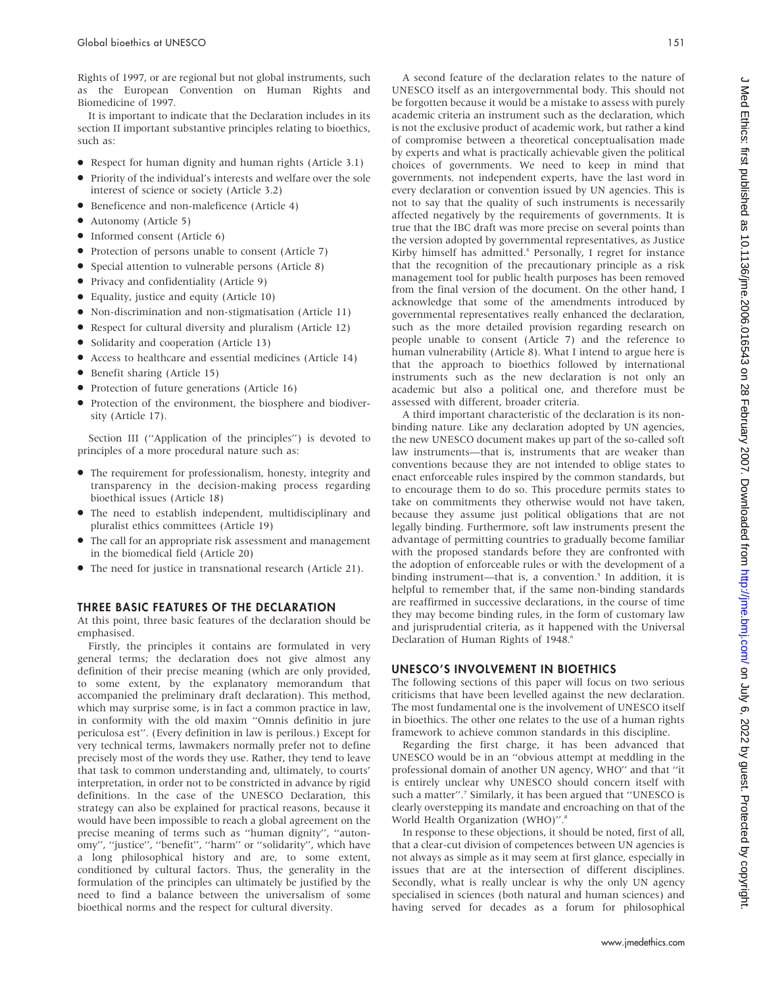Rights of 1997, or are regional but not global instruments, such as the European Convention on Human Rights and Biomedicine of 1997.

It is important to indicate that the Declaration includes in its section II important substantive principles relating to bioethics, such as:

- Respect for human dignity and human rights (Article 3.1)
- Priority of the individual's interests and welfare over the sole interest of science or society (Article 3.2)
- Beneficence and non-maleficence (Article 4)
- Autonomy (Article 5)
- $\bullet$  Informed consent (Article 6)
- Protection of persons unable to consent (Article 7)
- Special attention to vulnerable persons (Article 8)
- Privacy and confidentiality (Article 9)
- Equality, justice and equity (Article 10)
- Non-discrimination and non-stigmatisation (Article 11)
- Respect for cultural diversity and pluralism (Article 12)
- Solidarity and cooperation (Article 13)
- Access to healthcare and essential medicines (Article 14)
- Benefit sharing (Article 15)
- Protection of future generations (Article 16)
- Protection of the environment, the biosphere and biodiversity (Article 17).

Section III (''Application of the principles'') is devoted to principles of a more procedural nature such as:

- The requirement for professionalism, honesty, integrity and transparency in the decision-making process regarding bioethical issues (Article 18)
- The need to establish independent, multidisciplinary and pluralist ethics committees (Article 19)
- The call for an appropriate risk assessment and management in the biomedical field (Article 20)
- N The need for justice in transnational research (Article 21).

### THREE BASIC FEATURES OF THE DECLARATION

At this point, three basic features of the declaration should be emphasised.

Firstly, the principles it contains are formulated in very general terms; the declaration does not give almost any definition of their precise meaning (which are only provided, to some extent, by the explanatory memorandum that accompanied the preliminary draft declaration). This method, which may surprise some, is in fact a common practice in law, in conformity with the old maxim ''Omnis definitio in jure periculosa est''. (Every definition in law is perilous.) Except for very technical terms, lawmakers normally prefer not to define precisely most of the words they use. Rather, they tend to leave that task to common understanding and, ultimately, to courts' interpretation, in order not to be constricted in advance by rigid definitions. In the case of the UNESCO Declaration, this strategy can also be explained for practical reasons, because it would have been impossible to reach a global agreement on the precise meaning of terms such as ''human dignity'', ''autonomy'', ''justice'', ''benefit'', ''harm'' or ''solidarity'', which have a long philosophical history and are, to some extent, conditioned by cultural factors. Thus, the generality in the formulation of the principles can ultimately be justified by the need to find a balance between the universalism of some bioethical norms and the respect for cultural diversity.

A second feature of the declaration relates to the nature of UNESCO itself as an intergovernmental body. This should not be forgotten because it would be a mistake to assess with purely academic criteria an instrument such as the declaration, which is not the exclusive product of academic work, but rather a kind of compromise between a theoretical conceptualisation made by experts and what is practically achievable given the political choices of governments. We need to keep in mind that governments, not independent experts, have the last word in every declaration or convention issued by UN agencies. This is not to say that the quality of such instruments is necessarily affected negatively by the requirements of governments. It is true that the IBC draft was more precise on several points than the version adopted by governmental representatives, as Justice Kirby himself has admitted.<sup>4</sup> Personally, I regret for instance that the recognition of the precautionary principle as a risk management tool for public health purposes has been removed from the final version of the document. On the other hand, I acknowledge that some of the amendments introduced by governmental representatives really enhanced the declaration, such as the more detailed provision regarding research on people unable to consent (Article 7) and the reference to human vulnerability (Article 8). What I intend to argue here is that the approach to bioethics followed by international instruments such as the new declaration is not only an academic but also a political one, and therefore must be assessed with different, broader criteria.

A third important characteristic of the declaration is its nonbinding nature. Like any declaration adopted by UN agencies, the new UNESCO document makes up part of the so-called soft law instruments—that is, instruments that are weaker than conventions because they are not intended to oblige states to enact enforceable rules inspired by the common standards, but to encourage them to do so. This procedure permits states to take on commitments they otherwise would not have taken, because they assume just political obligations that are not legally binding. Furthermore, soft law instruments present the advantage of permitting countries to gradually become familiar with the proposed standards before they are confronted with the adoption of enforceable rules or with the development of a binding instrument—that is, a convention.<sup>5</sup> In addition, it is helpful to remember that, if the same non-binding standards are reaffirmed in successive declarations, in the course of time they may become binding rules, in the form of customary law and jurisprudential criteria, as it happened with the Universal Declaration of Human Rights of 1948.<sup>6</sup>

## UNESCO'S INVOLVEMENT IN BIOETHICS

The following sections of this paper will focus on two serious criticisms that have been levelled against the new declaration. The most fundamental one is the involvement of UNESCO itself in bioethics. The other one relates to the use of a human rights framework to achieve common standards in this discipline.

Regarding the first charge, it has been advanced that UNESCO would be in an ''obvious attempt at meddling in the professional domain of another UN agency, WHO'' and that ''it is entirely unclear why UNESCO should concern itself with such a matter".<sup>7</sup> Similarly, it has been argued that "UNESCO is clearly overstepping its mandate and encroaching on that of the World Health Organization (WHO)".<sup>8</sup>

In response to these objections, it should be noted, first of all, that a clear-cut division of competences between UN agencies is not always as simple as it may seem at first glance, especially in issues that are at the intersection of different disciplines. Secondly, what is really unclear is why the only UN agency specialised in sciences (both natural and human sciences) and having served for decades as a forum for philosophical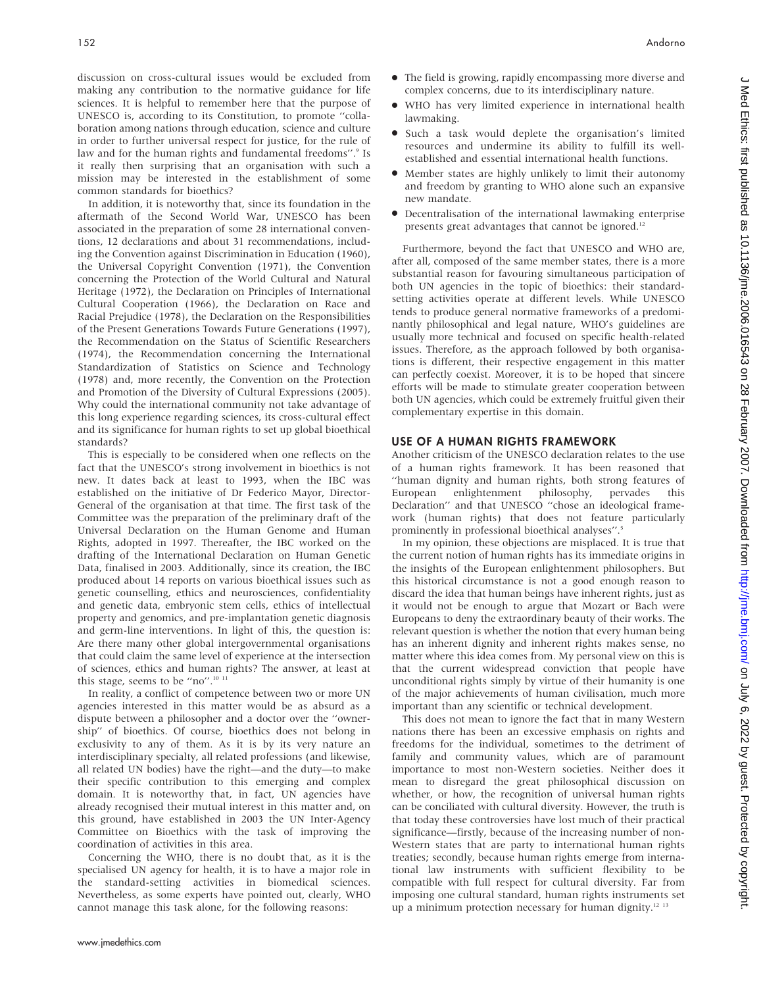discussion on cross-cultural issues would be excluded from making any contribution to the normative guidance for life sciences. It is helpful to remember here that the purpose of UNESCO is, according to its Constitution, to promote ''collaboration among nations through education, science and culture in order to further universal respect for justice, for the rule of law and for the human rights and fundamental freedoms".<sup>9</sup> Is it really then surprising that an organisation with such a mission may be interested in the establishment of some common standards for bioethics?

In addition, it is noteworthy that, since its foundation in the aftermath of the Second World War, UNESCO has been associated in the preparation of some 28 international conventions, 12 declarations and about 31 recommendations, including the Convention against Discrimination in Education (1960), the Universal Copyright Convention (1971), the Convention concerning the Protection of the World Cultural and Natural Heritage (1972), the Declaration on Principles of International Cultural Cooperation (1966), the Declaration on Race and Racial Prejudice (1978), the Declaration on the Responsibilities of the Present Generations Towards Future Generations (1997), the Recommendation on the Status of Scientific Researchers (1974), the Recommendation concerning the International Standardization of Statistics on Science and Technology (1978) and, more recently, the Convention on the Protection and Promotion of the Diversity of Cultural Expressions (2005). Why could the international community not take advantage of this long experience regarding sciences, its cross-cultural effect and its significance for human rights to set up global bioethical standards?

This is especially to be considered when one reflects on the fact that the UNESCO's strong involvement in bioethics is not new. It dates back at least to 1993, when the IBC was established on the initiative of Dr Federico Mayor, Director-General of the organisation at that time. The first task of the Committee was the preparation of the preliminary draft of the Universal Declaration on the Human Genome and Human Rights, adopted in 1997. Thereafter, the IBC worked on the drafting of the International Declaration on Human Genetic Data, finalised in 2003. Additionally, since its creation, the IBC produced about 14 reports on various bioethical issues such as genetic counselling, ethics and neurosciences, confidentiality and genetic data, embryonic stem cells, ethics of intellectual property and genomics, and pre-implantation genetic diagnosis and germ-line interventions. In light of this, the question is: Are there many other global intergovernmental organisations that could claim the same level of experience at the intersection of sciences, ethics and human rights? The answer, at least at this stage, seems to be "no".<sup>10 11</sup>

In reality, a conflict of competence between two or more UN agencies interested in this matter would be as absurd as a dispute between a philosopher and a doctor over the ''ownership'' of bioethics. Of course, bioethics does not belong in exclusivity to any of them. As it is by its very nature an interdisciplinary specialty, all related professions (and likewise, all related UN bodies) have the right—and the duty—to make their specific contribution to this emerging and complex domain. It is noteworthy that, in fact, UN agencies have already recognised their mutual interest in this matter and, on this ground, have established in 2003 the UN Inter-Agency Committee on Bioethics with the task of improving the coordination of activities in this area.

Concerning the WHO, there is no doubt that, as it is the specialised UN agency for health, it is to have a major role in the standard-setting activities in biomedical sciences. Nevertheless, as some experts have pointed out, clearly, WHO cannot manage this task alone, for the following reasons:

- The field is growing, rapidly encompassing more diverse and complex concerns, due to its interdisciplinary nature.
- N WHO has very limited experience in international health lawmaking.
- Such a task would deplete the organisation's limited resources and undermine its ability to fulfill its wellestablished and essential international health functions.
- Member states are highly unlikely to limit their autonomy and freedom by granting to WHO alone such an expansive new mandate.
- Decentralisation of the international lawmaking enterprise presents great advantages that cannot be ignored.<sup>12</sup>

Furthermore, beyond the fact that UNESCO and WHO are, after all, composed of the same member states, there is a more substantial reason for favouring simultaneous participation of both UN agencies in the topic of bioethics: their standardsetting activities operate at different levels. While UNESCO tends to produce general normative frameworks of a predominantly philosophical and legal nature, WHO's guidelines are usually more technical and focused on specific health-related issues. Therefore, as the approach followed by both organisations is different, their respective engagement in this matter can perfectly coexist. Moreover, it is to be hoped that sincere efforts will be made to stimulate greater cooperation between both UN agencies, which could be extremely fruitful given their complementary expertise in this domain.

## USE OF A HUMAN RIGHTS FRAMEWORK

Another criticism of the UNESCO declaration relates to the use of a human rights framework. It has been reasoned that ''human dignity and human rights, both strong features of European enlightenment philosophy, pervades this Declaration'' and that UNESCO ''chose an ideological framework (human rights) that does not feature particularly prominently in professional bioethical analyses''.5

In my opinion, these objections are misplaced. It is true that the current notion of human rights has its immediate origins in the insights of the European enlightenment philosophers. But this historical circumstance is not a good enough reason to discard the idea that human beings have inherent rights, just as it would not be enough to argue that Mozart or Bach were Europeans to deny the extraordinary beauty of their works. The relevant question is whether the notion that every human being has an inherent dignity and inherent rights makes sense, no matter where this idea comes from. My personal view on this is that the current widespread conviction that people have unconditional rights simply by virtue of their humanity is one of the major achievements of human civilisation, much more important than any scientific or technical development.

This does not mean to ignore the fact that in many Western nations there has been an excessive emphasis on rights and freedoms for the individual, sometimes to the detriment of family and community values, which are of paramount importance to most non-Western societies. Neither does it mean to disregard the great philosophical discussion on whether, or how, the recognition of universal human rights can be conciliated with cultural diversity. However, the truth is that today these controversies have lost much of their practical significance—firstly, because of the increasing number of non-Western states that are party to international human rights treaties; secondly, because human rights emerge from international law instruments with sufficient flexibility to be compatible with full respect for cultural diversity. Far from imposing one cultural standard, human rights instruments set up a minimum protection necessary for human dignity.<sup>12 13</sup>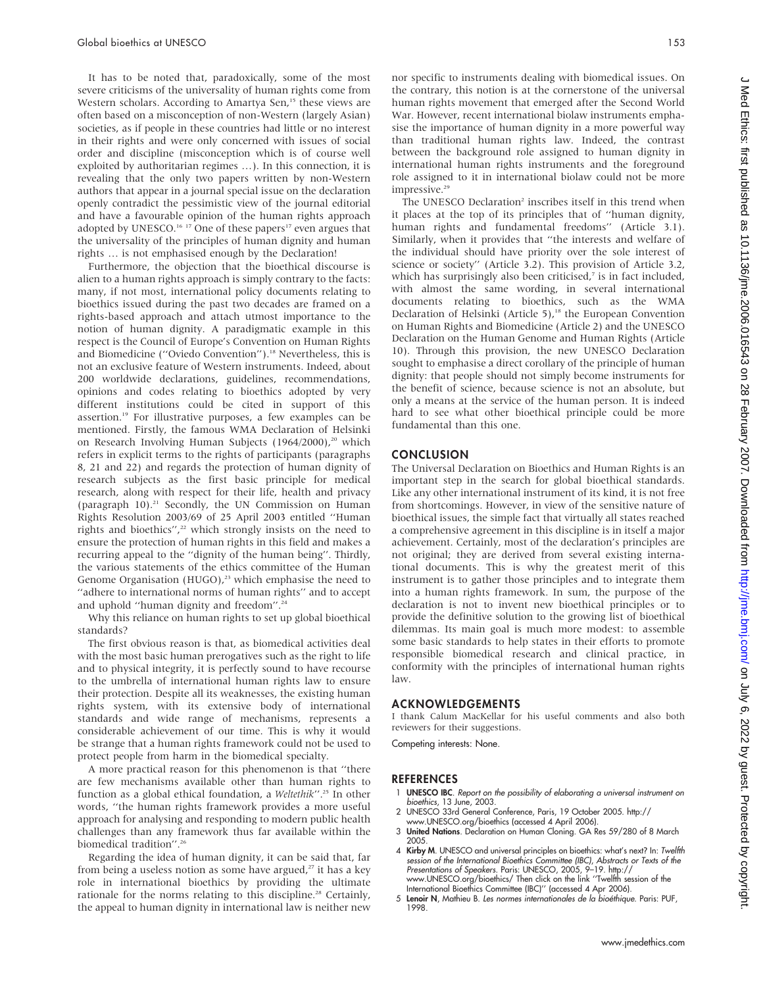It has to be noted that, paradoxically, some of the most severe criticisms of the universality of human rights come from Western scholars. According to Amartya Sen,<sup>15</sup> these views are often based on a misconception of non-Western (largely Asian) societies, as if people in these countries had little or no interest in their rights and were only concerned with issues of social order and discipline (misconception which is of course well exploited by authoritarian regimes …). In this connection, it is revealing that the only two papers written by non-Western authors that appear in a journal special issue on the declaration openly contradict the pessimistic view of the journal editorial and have a favourable opinion of the human rights approach adopted by UNESCO.<sup>16</sup> <sup>17</sup> One of these papers<sup>17</sup> even argues that the universality of the principles of human dignity and human rights … is not emphasised enough by the Declaration!

Furthermore, the objection that the bioethical discourse is alien to a human rights approach is simply contrary to the facts: many, if not most, international policy documents relating to bioethics issued during the past two decades are framed on a rights-based approach and attach utmost importance to the notion of human dignity. A paradigmatic example in this respect is the Council of Europe's Convention on Human Rights and Biomedicine ("Oviedo Convention").<sup>18</sup> Nevertheless, this is not an exclusive feature of Western instruments. Indeed, about 200 worldwide declarations, guidelines, recommendations, opinions and codes relating to bioethics adopted by very different institutions could be cited in support of this assertion.<sup>19</sup> For illustrative purposes, a few examples can be mentioned. Firstly, the famous WMA Declaration of Helsinki on Research Involving Human Subjects (1964/2000),<sup>20</sup> which refers in explicit terms to the rights of participants (paragraphs 8, 21 and 22) and regards the protection of human dignity of research subjects as the first basic principle for medical research, along with respect for their life, health and privacy (paragraph 10).<sup>21</sup> Secondly, the UN Commission on Human Rights Resolution 2003/69 of 25 April 2003 entitled ''Human rights and bioethics",<sup>22</sup> which strongly insists on the need to ensure the protection of human rights in this field and makes a recurring appeal to the ''dignity of the human being''. Thirdly, the various statements of the ethics committee of the Human Genome Organisation (HUGO),<sup>23</sup> which emphasise the need to ''adhere to international norms of human rights'' and to accept and uphold ''human dignity and freedom''.24

Why this reliance on human rights to set up global bioethical standards?

The first obvious reason is that, as biomedical activities deal with the most basic human prerogatives such as the right to life and to physical integrity, it is perfectly sound to have recourse to the umbrella of international human rights law to ensure their protection. Despite all its weaknesses, the existing human rights system, with its extensive body of international standards and wide range of mechanisms, represents a considerable achievement of our time. This is why it would be strange that a human rights framework could not be used to protect people from harm in the biomedical specialty.

A more practical reason for this phenomenon is that ''there are few mechanisms available other than human rights to function as a global ethical foundation, a Weltethik".<sup>25</sup> In other words, ''the human rights framework provides a more useful approach for analysing and responding to modern public health challenges than any framework thus far available within the biomedical tradition".<sup>26</sup>

Regarding the idea of human dignity, it can be said that, far from being a useless notion as some have argued,<sup>27</sup> it has a key role in international bioethics by providing the ultimate rationale for the norms relating to this discipline.<sup>28</sup> Certainly, the appeal to human dignity in international law is neither new

nor specific to instruments dealing with biomedical issues. On the contrary, this notion is at the cornerstone of the universal human rights movement that emerged after the Second World War. However, recent international biolaw instruments emphasise the importance of human dignity in a more powerful way than traditional human rights law. Indeed, the contrast between the background role assigned to human dignity in international human rights instruments and the foreground role assigned to it in international biolaw could not be more impressive.<sup>29</sup>

The UNESCO Declaration<sup>2</sup> inscribes itself in this trend when it places at the top of its principles that of ''human dignity, human rights and fundamental freedoms'' (Article 3.1). Similarly, when it provides that ''the interests and welfare of the individual should have priority over the sole interest of science or society'' (Article 3.2). This provision of Article 3.2, which has surprisingly also been criticised,<sup>7</sup> is in fact included, with almost the same wording, in several international documents relating to bioethics, such as the WMA Declaration of Helsinki (Article 5),<sup>18</sup> the European Convention on Human Rights and Biomedicine (Article 2) and the UNESCO Declaration on the Human Genome and Human Rights (Article 10). Through this provision, the new UNESCO Declaration sought to emphasise a direct corollary of the principle of human dignity: that people should not simply become instruments for the benefit of science, because science is not an absolute, but only a means at the service of the human person. It is indeed hard to see what other bioethical principle could be more fundamental than this one.

## **CONCLUSION**

The Universal Declaration on Bioethics and Human Rights is an important step in the search for global bioethical standards. Like any other international instrument of its kind, it is not free from shortcomings. However, in view of the sensitive nature of bioethical issues, the simple fact that virtually all states reached a comprehensive agreement in this discipline is in itself a major achievement. Certainly, most of the declaration's principles are not original; they are derived from several existing international documents. This is why the greatest merit of this instrument is to gather those principles and to integrate them into a human rights framework. In sum, the purpose of the declaration is not to invent new bioethical principles or to provide the definitive solution to the growing list of bioethical dilemmas. Its main goal is much more modest: to assemble some basic standards to help states in their efforts to promote responsible biomedical research and clinical practice, in conformity with the principles of international human rights law.

#### ACKNOWLEDGEMENTS

I thank Calum MacKellar for his useful comments and also both reviewers for their suggestions.

Competing interests: None.

## **REFERENCES**

- 1 **UNESCO IBC**. Report on the possibility of elaborating a universal instrument on bioethics, 13 June, 2003.
- 2 UNESCO 33rd General Conference, Paris, 19 October 2005. http:// www.UNESCO.org/bioethics (accessed 4 April 2006).
- 3 United Nations. Declaration on Human Cloning. GA Res 59/280 of 8 March 2005.
- 4 Kirby M. UNESCO and universal principles on bioethics: what's next? In: Twelfth session of the International Bioethics Committee (IBC), Abstracts or Texts of the<br>Presentations of Speakers. Paris: UNESCO, 2005, 9–19. http://<br>www.UNESCO.org/bioethics/ Then click on the link 'Twelfth session of the<br>Inter
- 5 Lenoir N, Mathieu B. Les normes internationales de la bioéthique. Paris: PUF, 1998.